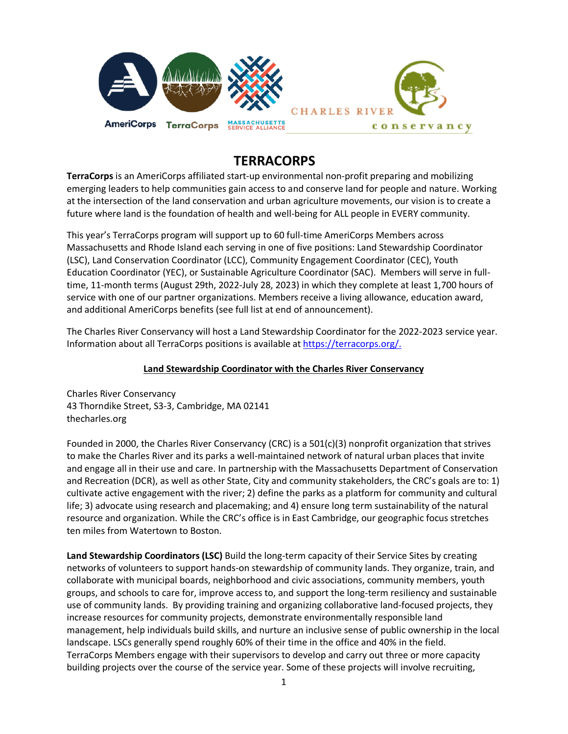

# **TERRACORPS**

**TerraCorps** is an AmeriCorps affiliated start-up environmental non-profit preparing and mobilizing emerging leaders to help communities gain access to and conserve land for people and nature. Working at the intersection of the land conservation and urban agriculture movements, our vision is to create a future where land is the foundation of health and well-being for ALL people in EVERY community.

This year's TerraCorps program will support up to 60 full-time AmeriCorps Members across Massachusetts and Rhode Island each serving in one of five positions: Land Stewardship Coordinator (LSC), Land Conservation Coordinator (LCC), Community Engagement Coordinator (CEC), Youth Education Coordinator (YEC), or Sustainable Agriculture Coordinator (SAC). Members will serve in fulltime, 11-month terms (August 29th, 2022-July 28, 2023) in which they complete at least 1,700 hours of service with one of our partner organizations. Members receive a living allowance, education award, and additional AmeriCorps benefits (see full list at end of announcement).

The Charles River Conservancy will host a Land Stewardship Coordinator for the 2022-2023 service year. Information about all TerraCorps positions is available at [https://terracorps.org/.](https://terracorps.org/)

#### **Land Stewardship Coordinator with the Charles River Conservancy**

Charles River Conservancy 43 Thorndike Street, S3-3, Cambridge, MA 02141 thecharles.org

Founded in 2000, the Charles River Conservancy (CRC) is a 501(c)(3) nonprofit organization that strives to make the Charles River and its parks a well-maintained network of natural urban places that invite and engage all in their use and care. In partnership with the Massachusetts Department of Conservation and Recreation (DCR), as well as other State, City and community stakeholders, the CRC's goals are to: 1) cultivate active engagement with the river; 2) define the parks as a platform for community and cultural life; 3) advocate using research and placemaking; and 4) ensure long term sustainability of the natural resource and organization. While the CRC's office is in East Cambridge, our geographic focus stretches ten miles from Watertown to Boston.

**Land Stewardship Coordinators (LSC)** Build the long-term capacity of their Service Sites by creating networks of volunteers to support hands-on stewardship of community lands. They organize, train, and collaborate with municipal boards, neighborhood and civic associations, community members, youth groups, and schools to care for, improve access to, and support the long-term resiliency and sustainable use of community lands. By providing training and organizing collaborative land-focused projects, they increase resources for community projects, demonstrate environmentally responsible land management, help individuals build skills, and nurture an inclusive sense of public ownership in the local landscape. LSCs generally spend roughly 60% of their time in the office and 40% in the field. TerraCorps Members engage with their supervisors to develop and carry out three or more capacity building projects over the course of the service year. Some of these projects will involve recruiting,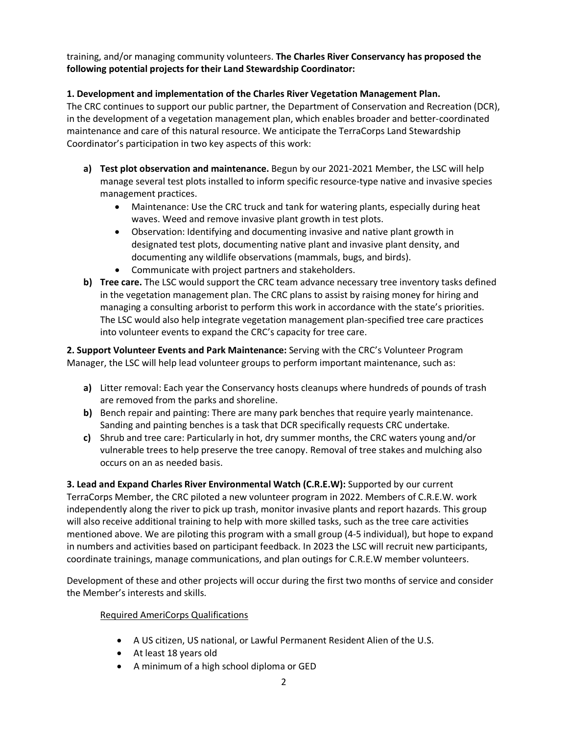training, and/or managing community volunteers. **The Charles River Conservancy has proposed the following potential projects for their Land Stewardship Coordinator:**

# **1. Development and implementation of the Charles River Vegetation Management Plan.**

The CRC continues to support our public partner, the Department of Conservation and Recreation (DCR), in the development of a vegetation management plan, which enables broader and better-coordinated maintenance and care of this natural resource. We anticipate the TerraCorps Land Stewardship Coordinator's participation in two key aspects of this work:

- **a) Test plot observation and maintenance.** Begun by our 2021-2021 Member, the LSC will help manage several test plots installed to inform specific resource-type native and invasive species management practices.
	- Maintenance: Use the CRC truck and tank for watering plants, especially during heat waves. Weed and remove invasive plant growth in test plots.
	- Observation: Identifying and documenting invasive and native plant growth in designated test plots, documenting native plant and invasive plant density, and documenting any wildlife observations (mammals, bugs, and birds).
	- Communicate with project partners and stakeholders.
- **b) Tree care.** The LSC would support the CRC team advance necessary tree inventory tasks defined in the vegetation management plan. The CRC plans to assist by raising money for hiring and managing a consulting arborist to perform this work in accordance with the state's priorities. The LSC would also help integrate vegetation management plan-specified tree care practices into volunteer events to expand the CRC's capacity for tree care.

**2. Support Volunteer Events and Park Maintenance:** Serving with the CRC's Volunteer Program Manager, the LSC will help lead volunteer groups to perform important maintenance, such as:

- **a)** Litter removal: Each year the Conservancy hosts cleanups where hundreds of pounds of trash are removed from the parks and shoreline.
- **b)** Bench repair and painting: There are many park benches that require yearly maintenance. Sanding and painting benches is a task that DCR specifically requests CRC undertake.
- **c)** Shrub and tree care: Particularly in hot, dry summer months, the CRC waters young and/or vulnerable trees to help preserve the tree canopy. Removal of tree stakes and mulching also occurs on an as needed basis.

**3. Lead and Expand Charles River Environmental Watch (C.R.E.W):** Supported by our current TerraCorps Member, the CRC piloted a new volunteer program in 2022. Members of C.R.E.W. work independently along the river to pick up trash, monitor invasive plants and report hazards. This group will also receive additional training to help with more skilled tasks, such as the tree care activities mentioned above. We are piloting this program with a small group (4-5 individual), but hope to expand in numbers and activities based on participant feedback. In 2023 the LSC will recruit new participants, coordinate trainings, manage communications, and plan outings for C.R.E.W member volunteers.

Development of these and other projects will occur during the first two months of service and consider the Member's interests and skills.

## Required AmeriCorps Qualifications

- A US citizen, US national, or Lawful Permanent Resident Alien of the U.S.
- At least 18 years old
- A minimum of a high school diploma or GED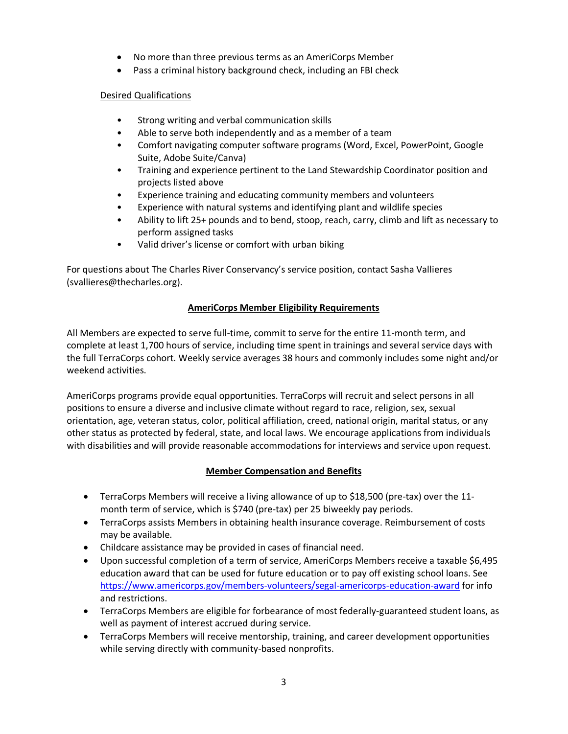- No more than three previous terms as an AmeriCorps Member
- Pass a criminal history background check, including an FBI check

## Desired Qualifications

- Strong writing and verbal communication skills
- Able to serve both independently and as a member of a team
- Comfort navigating computer software programs (Word, Excel, PowerPoint, Google Suite, Adobe Suite/Canva)
- Training and experience pertinent to the Land Stewardship Coordinator position and projects listed above
- Experience training and educating community members and volunteers
- Experience with natural systems and identifying plant and wildlife species
- Ability to lift 25+ pounds and to bend, stoop, reach, carry, climb and lift as necessary to perform assigned tasks
- Valid driver's license or comfort with urban biking

For questions about The Charles River Conservancy's service position, contact Sasha Vallieres (svallieres@thecharles.org).

## **AmeriCorps Member Eligibility Requirements**

All Members are expected to serve full-time, commit to serve for the entire 11-month term, and complete at least 1,700 hours of service, including time spent in trainings and several service days with the full TerraCorps cohort. Weekly service averages 38 hours and commonly includes some night and/or weekend activities.

AmeriCorps programs provide equal opportunities. TerraCorps will recruit and select persons in all positions to ensure a diverse and inclusive climate without regard to race, religion, sex, sexual orientation, age, veteran status, color, political affiliation, creed, national origin, marital status, or any other status as protected by federal, state, and local laws. We encourage applications from individuals with disabilities and will provide reasonable accommodations for interviews and service upon request.

## **Member Compensation and Benefits**

- TerraCorps Members will receive a living allowance of up to \$18,500 (pre-tax) over the 11month term of service, which is \$740 (pre-tax) per 25 biweekly pay periods.
- TerraCorps assists Members in obtaining health insurance coverage. Reimbursement of costs may be available.
- Childcare assistance may be provided in cases of financial need.
- Upon successful completion of a term of service, AmeriCorps Members receive a taxable \$6,495 education award that can be used for future education or to pay off existing school loans. See <https://www.americorps.gov/members-volunteers/segal-americorps-education-award> for info and restrictions.
- TerraCorps Members are eligible for forbearance of most federally-guaranteed student loans, as well as payment of interest accrued during service.
- TerraCorps Members will receive mentorship, training, and career development opportunities while serving directly with community-based nonprofits.